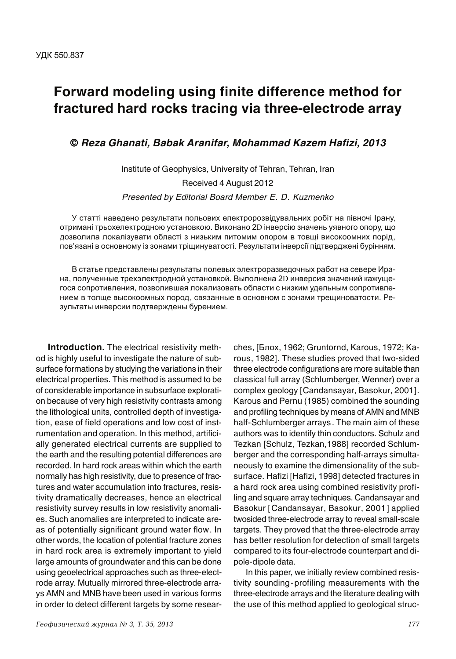## **Forward modeling using finite difference method for fractured hard rocks tracing via three-electrode array**

© **Reza Ghanati, Babak Aranifar, Mohammad Kazem Hafizi, 2013**

Institute of Geophysics, University of Tehran, Tehran, Iran Received 4 August 2012 Presented by Editorial Board Member E. D. Kuzmenko

У статті наведено результати польових електророзвідувальних робіт на півночі Ірану, отримані трьохелектродною установкою. Виконано 2D інверсію значень уявного опору, що дозволила локалізувати області з низьким питомим опором в товщі високоомних порід, пов'язані в основному із зонами тріщинуватості. Результати інверсії підтверджені бурінням.

В статье представлены результаты полевых электроразведочных работ на севере Ирана, полученные трехэлектродной установкой. Выполнена 2D инверсия значений кажущегося сопротивления, позволившая локализовать области с низким удельным сопротивлением в толще высокоомных пород, связанные в основном с зонами трещиноватости. Результаты инверсии подтверждены бурением.

**Introduction.** The electrical resistivity method is highly useful to investigate the nature of subsurface formations by studying the variations in their electrical properties. This method is assumed to be of considerable importance in subsurface exploration because of very high resistivity contrasts among the lithological units, controlled depth of investigation, ease of field operations and low cost of instrumentation and operation. In this method, artificially generated electrical currents are supplied to the earth and the resulting potential differences are recorded. In hard rock areas within which the earth normally has high resistivity, due to presence of fractures and water accumulation into fractures, resistivity dramatically decreases, hence an electrical resistivity survey results in low resistivity anomalies. Such anomalies are interpreted to indicate areas of potentially significant ground water flow. In other words, the location of potential fracture zones in hard rock area is extremely important to yield large amounts of groundwater and this can be done using geoelectrical approaches such as three-electrode array. Mutually mirrored three-electrode arrays AMN and MNB have been used in various forms in order to detect different targets by some researches, [Блох, 1962; Gruntornd, Karous, 1972; Karous, 1982]. These studies proved that two-sided three electrode configurations are more suitable than classical full array (Schlumberger, Wenner) over a complex geology [Candansayar, Basokur, 2001]. Karous and Pernu (1985) combined the sounding and profiling techniques by means of AMN and MNB half-Schlumberger arrays. The main aim of these authors was to identify thin conductors. Schulz and Tezkan [Schulz, Tezkan,1988] recorded Schlumberger and the corresponding half-arrays simultaneously to examine the dimensionality of the subsurface. Hafizi [Hafizi, 1998] detected fractures in a hard rock area using combined resistivity profiling and square array techniques. Candansayar and Basokur [Candansayar, Basokur, 2001] applied twosided three-electrode array to reveal small-scale targets. They proved that the three-electrode array has better resolution for detection of small targets compared to its four-electrode counterpart and dipole-dipole data.

In this paper, we initially review combined resistivity sounding-profiling measurements with the three-electrode arrays and the literature dealing with the use of this method applied to geological struc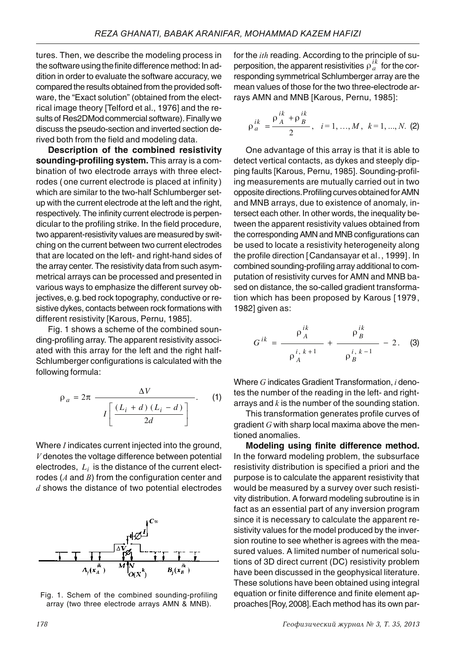tures. Then, we describe the modeling process in the software using the finite difference method: In addition in order to evaluate the software accuracy, we compared the results obtained from the provided software, the "Exact solution" (obtained from the electrical image theory [Telford et al., 1976] and the results of Res2DMod commercial software). Finally we discuss the pseudo-section and inverted section derived both from the field and modeling data.

**Description of the combined resistivity sounding-profiling system.** This array is a combination of two electrode arrays with three electrodes ( one current electrode is placed at infinity) which are similar to the two-half Schlumberger setup with the current electrode at the left and the right, respectively. The infinity current electrode is perpendicular to the profiling strike. In the field procedure, two apparent-resistivity values are measured by switching on the current between two current electrodes that are located on the left- and right-hand sides of the array center. The resistivity data from such asymmetrical arrays can be processed and presented in various ways to emphasize the different survey objectives, e. g. bed rock topography, conductive or resistive dykes, contacts between rock formations with different resistivity [Karous, Pernu, 1985].

Fig. 1 shows a scheme of the combined sounding-profiling array. The apparent resistivity associated with this array for the left and the right half-Schlumberger configurations is calculated with the following formula:

$$
\rho_a = 2\pi \frac{\Delta V}{I\left[\frac{(L_i + d)(L_i - d)}{2d}\right]}.
$$
 (1)

Where  $I$  indicates current injected into the ground,  $V$  denotes the voltage difference between potential electrodes,  $L_i$  is the distance of the current electrodes ( $A$  and  $B$ ) from the configuration center and  $d$  shows the distance of two potential electrodes



Fig. 1. Schem of the combined sounding-profiling array (two three electrode arrays AMN & MNB).

for the *ith* reading. According to the principle of superposition, the apparent resistivities  $\rho_a^{ik}$  for the corresponding symmetrical Schlumberger array are the mean values of those for the two three-electrode arrays AMN and MNB [Karous, Pernu, 1985]:

$$
\rho_a^{ik} = \frac{\rho_A^{ik} + \rho_B^{ik}}{2}, \quad i = 1, ..., M, \quad k = 1, ..., N. \tag{2}
$$

One advantage of this array is that it is able to detect vertical contacts, as dykes and steeply dipping faults [Karous, Pernu, 1985]. Sounding-profiling measurements are mutually carried out in two opposite directions. Profiling curves obtained for AMN and MNB arrays, due to existence of anomaly, intersect each other. In other words, the inequality between the apparent resistivity values obtained from the corresponding AMN and MNB configurations can be used to locate a resistivity heterogeneity along the profile direction [Candansayar et al., 1999]. In combined sounding-profiling array additional to computation of resistivity curves for AMN and MNB based on distance, the so-called gradient transformation which has been proposed by Karous [1979, 1982] given as:

$$
G^{ik} = \frac{\rho_A^{ik}}{\rho_A^{i, k+1}} + \frac{\rho_B^{ik}}{\rho_B^{i, k-1}} - 2.
$$
 (3)

Where  $G$  indicates Gradient Transformation,  $i$  denotes the number of the reading in the left- and rightarrays and  $k$  is the number of the sounding station.

This transformation generates profile curves of gradient  $G$  with sharp local maxima above the mentioned anomalies.

**Modeling using finite difference method.** In the forward modeling problem, the subsurface resistivity distribution is specified a priori and the purpose is to calculate the apparent resistivity that would be measured by a survey over such resistivity distribution. A forward modeling subroutine is in fact as an essential part of any inversion program since it is necessary to calculate the apparent resistivity values for the model produced by the inversion routine to see whether is agrees with the measured values. A limited number of numerical solutions of 3D direct current (DC) resistivity problem have been discussed in the geophysical literature. These solutions have been obtained using integral equation or finite difference and finite element approaches [Roy, 2008]. Each method has its own par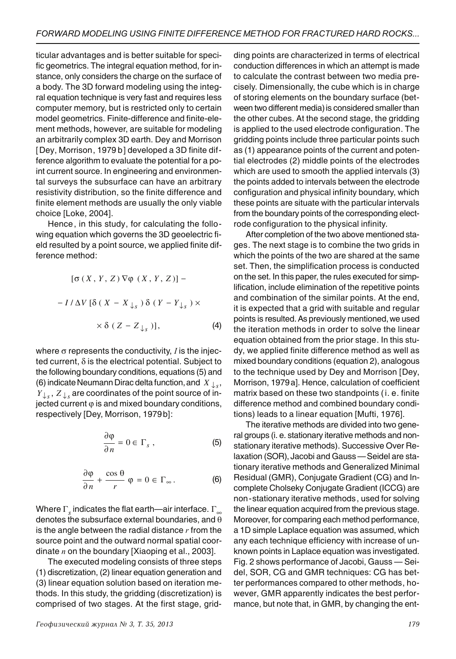ticular advantages and is better suitable for specific geometrics. The integral equation method, for instance, only considers the charge on the surface of a body. The 3D forward modeling using the integral equation technique is very fast and requires less computer memory, but is restricted only to certain model geometrics. Finite-difference and finite-element methods, however, are suitable for modeling an arbitrarily complex 3D earth. Dey and Morrison [Dey, Morrison, 1979 b] developed a 3D finite difference algorithm to evaluate the potential for a point current source. In engineering and environmental surveys the subsurface can have an arbitrary resistivity distribution, so the finite difference and finite element methods are usually the only viable choice [Loke, 2004].

Hence, in this study, for calculating the following equation which governs the 3D geoelectric field resulted by a point source, we applied finite difference method:

$$
[\sigma(X, Y, Z) \nabla \varphi (X, Y, Z)] -
$$

$$
- I/\Delta V [\delta (X - X_{\downarrow_S}) \delta (Y - Y_{\downarrow_S}) \times
$$

$$
\times \delta (Z - Z_{\downarrow_S})], \qquad (4)
$$

where  $\sigma$  represents the conductivity,  $I$  is the injected current,  $\delta$  is the electrical potential. Subject to the following boundary conditions, equations (5) and (6) indicate Neumann Dirac delta function, and  $X \downarrow_{s}$ ,  $Y_{\perp_{\mathcal{S}}}$ ,  $Z_{\perp_{\mathcal{S}}}$  are coordinates of the point source of injected current  $\varphi$  is and mixed boundary conditions, respectively [Dey, Morrison, 1979b]:

$$
\frac{\partial \varphi}{\partial n} = 0 \in \Gamma_s , \qquad (5)
$$

$$
\frac{\partial \varphi}{\partial n} + \frac{\cos \theta}{r} \varphi = 0 \in \Gamma_{\infty}.
$$
 (6)

Where  $\Gamma_{_S}$  indicates the flat earth—air interface.  $\Gamma_{_\infty}$ denotes the subsurface external boundaries, and θ is the angle between the radial distance  $r$  from the source point and the outward normal spatial coordinate  $n$  on the boundary [Xiaoping et al., 2003].

The executed modeling consists of three steps (1) discretization, (2) linear equation generation and (3) linear equation solution based on iteration methods. In this study, the gridding (discretization) is comprised of two stages. At the first stage, gridding points are characterized in terms of electrical conduction differences in which an attempt is made to calculate the contrast between two media precisely. Dimensionally, the cube which is in charge of storing elements on the boundary surface (between two different media) is considered smaller than the other cubes. At the second stage, the gridding is applied to the used electrode configuration. The gridding points include three particular points such as (1) appearance points of the current and potential electrodes (2) middle points of the electrodes which are used to smooth the applied intervals (3) the points added to intervals between the electrode configuration and physical infinity boundary, which these points are situate with the particular intervals from the boundary points of the corresponding electrode configuration to the physical infinity.

After completion of the two above mentioned stages. The next stage is to combine the two grids in which the points of the two are shared at the same set. Then, the simplification process is conducted on the set. In this paper, the rules executed for simplification, include elimination of the repetitive points and combination of the similar points. At the end, it is expected that a grid with suitable and regular points is resulted. As previously mentioned, we used the iteration methods in order to solve the linear equation obtained from the prior stage. In this study, we applied finite difference method as well as mixed boundary conditions (equation 2), analogous to the technique used by Dey and Morrison [Dey, Morrison, 1979a]. Hence, calculation of coefficient matrix based on these two standpoints (i. e. finite difference method and combined boundary conditions) leads to a linear equation [Mufti, 1976].

The iterative methods are divided into two general groups (i. e. stationary iterative methods and nonstationary iterative methods). Successive Over Relaxation (SOR), Jacobi and Gauss — Seidel are stationary iterative methods and Generalized Minimal Residual (GMR), Conjugate Gradient (CG) and Incomplete Cholseky Conjugate Gradient (ICCG) are non-stationary iterative methods, used for solving the linear equation acquired from the previous stage. Moreover, for comparing each method performance, a 1D simple Laplace equation was assumed, which any each technique efficiency with increase of unknown points in Laplace equation was investigated. Fig. 2 shows performance of Jacobi, Gauss — Seidel, SOR, CG and GMR techniques: CG has better performances compared to other methods, however, GMR apparently indicates the best performance, but note that, in GMR, by changing the ent-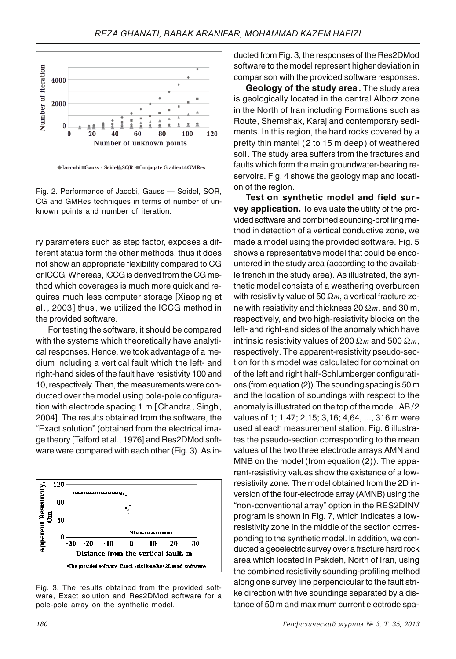

Fig. 2. Performance of Jacobi, Gauss — Seidel, SOR, CG and GMRes techniques in terms of number of unknown points and number of iteration.

ry parameters such as step factor, exposes a different status form the other methods, thus it does not show an appropriate flexibility compared to CG or ICCG. Whereas, ICCG is derived from the CG method which coverages is much more quick and requires much less computer storage [Xiaoping et al., 2003] thus, we utilized the ICCG method in the provided software.

For testing the software, it should be compared with the systems which theoretically have analytical responses. Hence, we took advantage of a medium including a vertical fault which the left- and right-hand sides of the fault have resistivity 100 and 10, respectively. Then, the measurements were conducted over the model using pole-pole configuration with electrode spacing 1 m [Chandra, Singh, 2004]. The results obtained from the software, the "Exact solution" (obtained from the electrical image theory [Telford et al., 1976] and Res2DMod software were compared with each other (Fig. 3). As in-



Fig. 3. The results obtained from the provided software, Exact solution and Res2DMod software for a pole-pole array on the synthetic model.

 $180$   $\Gamma$ 

ducted from Fig. 3, the responses of the Res2DMod software to the model represent higher deviation in comparison with the provided software responses.

**Geology of the study area.** The study area is geologically located in the central Alborz zone in the North of Iran including Formations such as Route, Shemshak, Karaj and contemporary sediments. In this region, the hard rocks covered by a pretty thin mantel (2 to 15 m deep) of weathered soil. The study area suffers from the fractures and faults which form the main groundwater-bearing reservoirs. Fig. 4 shows the geology map and location of the region.

**Test on synthetic model and field sur vey application.** To evaluate the utility of the provided software and combined sounding-profiling method in detection of a vertical conductive zone, we made a model using the provided software. Fig. 5 shows a representative model that could be encountered in the study area (according to the available trench in the study area). As illustrated, the synthetic model consists of a weathering overburden with resistivity value of 50  $\Omega$ *m*, a vertical fracture zone with resistivity and thickness 20  $\Omega$ *m*, and 30 m, respectively, and two high-resistivity blocks on the left- and right-and sides of the anomaly which have intrinsic resistivity values of 200  $\Omega$ *m* and 500  $\Omega$ *m*, respectively. The apparent-resistivity pseudo-section for this model was calculated for combination of the left and right half-Schlumberger configurations (from equation (2)). The sounding spacing is 50 m and the location of soundings with respect to the anomaly is illustrated on the top of the model. AB /2 values of 1; 1,47; 2,15; 3,16; 4,64, ..., 316 m were used at each measurement station. Fig. 6 illustrates the pseudo-section corresponding to the mean values of the two three electrode arrays AMN and MNB on the model (from equation (2)). The apparent-resistivity values show the existence of a lowresistivity zone. The model obtained from the 2D inversion of the four-electrode array (AMNB) using the "non-conventional array" option in the RES2DINV program is shown in Fig. 7, which indicates a lowresistivity zone in the middle of the section corresponding to the synthetic model. In addition, we conducted a geoelectric survey over a fracture hard rock area which located in Pakdeh, North of Iran, using the combined resistivity sounding-profiling method along one survey line perpendicular to the fault strike direction with five soundings separated by a distance of 50 m and maximum current electrode spa-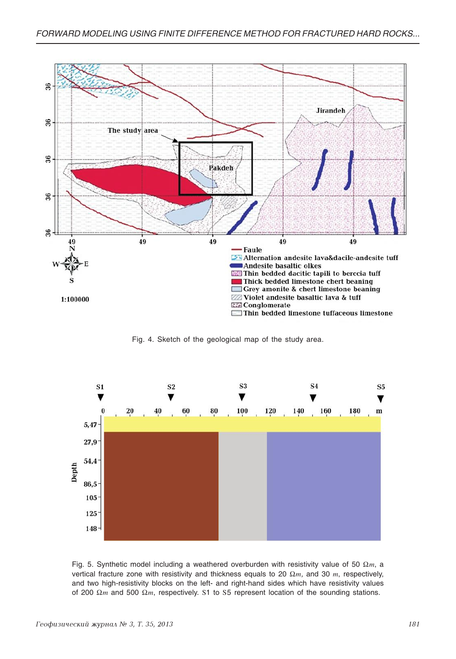

Fig. 4. Sketch of the geological map of the study area.



Fig. 5. Synthetic model including a weathered overburden with resistivity value of 50  $\Omega$ m, a vertical fracture zone with resistivity and thickness equals to 20  $\Omega$ *m*, and 30 *m*, respectively, and two high-resistivity blocks on the left- and right-hand sides which have resistivity values of 200  $\Omega$ *m* and 500  $\Omega$ *m*, respectively. S1 to S5 represent location of the sounding stations.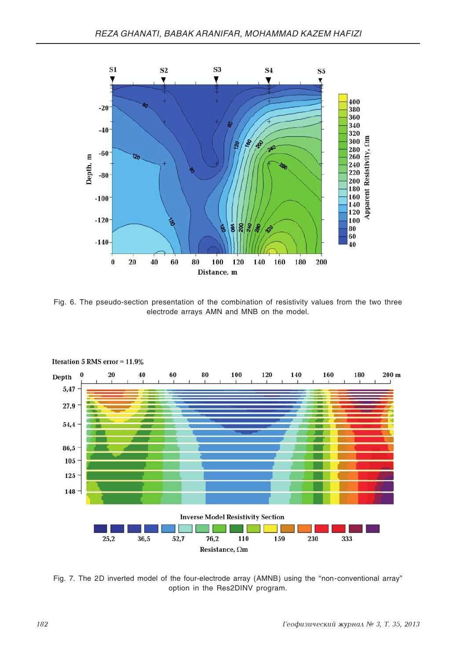

Fig. 6. The pseudo-section presentation of the combination of resistivity values from the two three electrode arrays AMN and MNB on the model.



**Iteration 5 RMS error =**  $11,9\%$ 

Fig. 7. The 2D inverted model of the four-electrode array (AMNB) using the "non-conventional array" option in the Res2DINV program.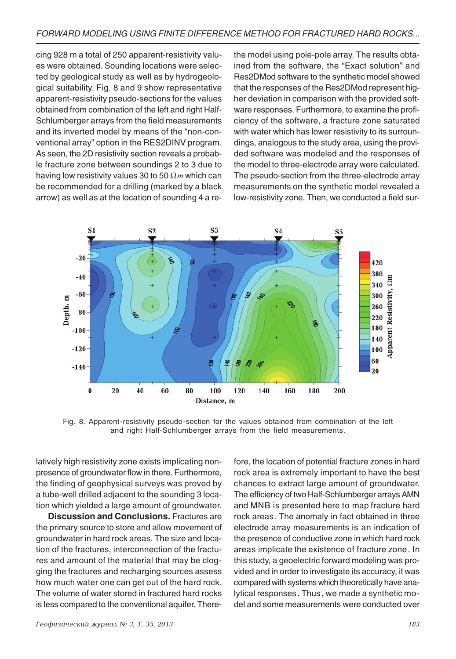cing 928 m a total of 250 apparent-resistivity values were obtained. Sounding locations were selected by geological study as well as by hydrogeological suitability. Fig. 8 and 9 show representative apparent-resistivity pseudo-sections for the values obtained from combination of the left and right Half-Schlumberger arrays from the field measurements and its inverted model by means of the "non-conventional array" option in the RES2DINV program. As seen, the 2D resistivity section reveals a probable fracture zone between soundings 2 to 3 due to having low resistivity values 30 to 50  $\Omega$ *m* which can be recommended for a drilling (marked by a black arrow) as well as at the location of sounding 4 a rethe model using pole-pole array. The results obtained from the software, the "Exact solution" and Res2DMod software to the synthetic model showed that the responses of the Res2DMod represent higher deviation in comparison with the provided software responses. Furthermore, to examine the proficiency of the software, a fracture zone saturated with water which has lower resistivity to its surroundings, analogous to the study area, using the provided software was modeled and the responses of the model to three-electrode array were calculated. The pseudo-section from the three-electrode array measurements on the synthetic model revealed a low-resistivity zone. Then, we conducted a field sur-



Fig. 8. Apparent-resistivity pseudo-section for the values obtained from combination of the left and right Half-Schlumberger arrays from the field measurements.

latively high resistivity zone exists implicating nonpresence of groundwater flow in there. Furthermore, the finding of geophysical surveys was proved by a tube-well drilled adjacent to the sounding 3 location which yielded a large amount of groundwater.

**Discussion and Conclusions.** Fractures are the primary source to store and allow movement of groundwater in hard rock areas. The size and location of the fractures, interconnection of the fractures and amount of the material that may be clogging the fractures and recharging sources assess how much water one can get out of the hard rock. The volume of water stored in fractured hard rocks is less compared to the conventional aquifer. There-

 $I$ еофизический журнал № 3, Т. 35, 2013  $\blacksquare$ 

fore, the location of potential fracture zones in hard rock area is extremely important to have the best chances to extract large amount of groundwater. The efficiency of two Half-Schlumberger arrays AMN and MNB is presented here to map fracture hard rock areas. The anomaly in fact obtained in three electrode array measurements is an indication of the presence of conductive zone in which hard rock areas implicate the existence of fracture zone. In this study, a geoelectric forward modeling was provided and in order to investigate its accuracy, it was compared with systems which theoretically have analytical responses. Thus, we made a synthetic model and some measurements were conducted over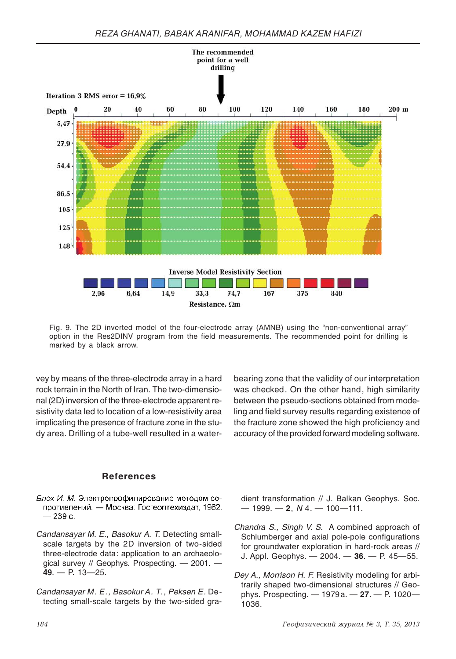

Fig. 9. The 2D inverted model of the four-electrode array (AMNB) using the "non-conventional array" option in the Res2DINV program from the field measurements. The recommended point for drilling is marked by a black arrow.

vey by means of the three-electrode array in a hard rock terrain in the North of Iran. The two-dimensional (2D) inversion of the three-electrode apparent resistivity data led to location of a low-resistivity area implicating the presence of fracture zone in the study area. Drilling of a tube-well resulted in a waterbearing zone that the validity of our interpretation was checked. On the other hand, high similarity between the pseudo-sections obtained from modeling and field survey results regarding existence of the fracture zone showed the high proficiency and accuracy of the provided forward modeling software.

## **References**

- Блох И. М. Электропрофилирование методом сопротивлений. - Москва: Госгеолтехиздат, 1962.  $-239c.$
- Candansayar M. E., Basokur A. T. Detecting smallscale targets by the 2D inversion of two-sided three-electrode data: application to an archaeological survey // Geophys. Prospecting. - 2001. **49**. — P. 13—25.
- Candansayar M. E., Basokur A. T., Peksen E. Detecting small-scale targets by the two-sided gra-

dient transformation // J. Balkan Geophys. Soc. — 1999. — **2**, N 4. — 100—111.

- Chandra S., Singh V. S. A combined approach of Schlumberger and axial pole-pole configurations for groundwater exploration in hard-rock areas // J. Appl. Geophys. — 2004. — **36**. — P. 45—55.
- Dey A., Morrison H. F. Resistivity modeling for arbitrarily shaped two-dimensional structures // Geophys. Prospecting. — 1979a. — **27**. — P. 1020— 1036.